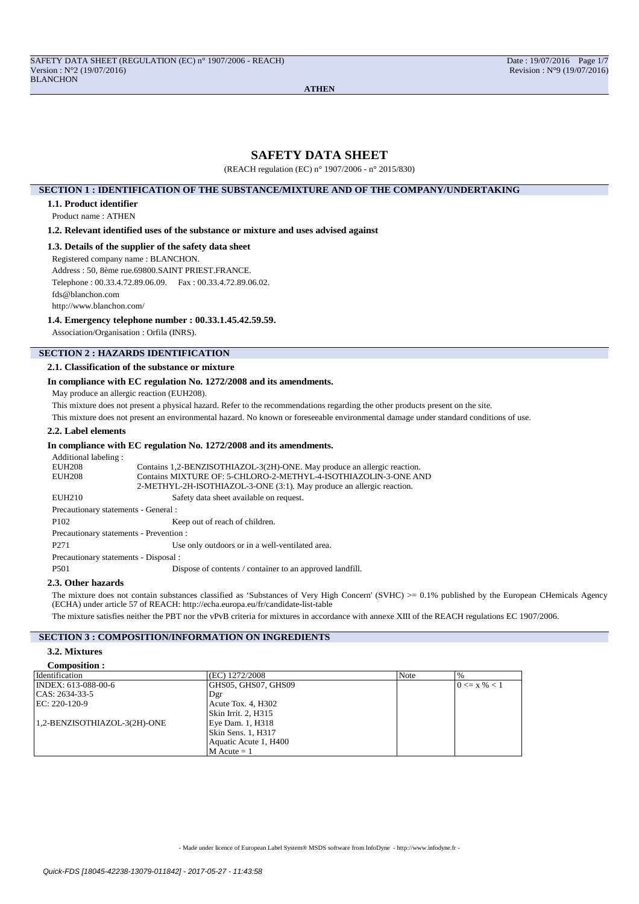# **SAFETY DATA SHEET**

(REACH regulation (EC) n° 1907/2006 - n° 2015/830)

### **SECTION 1 : IDENTIFICATION OF THE SUBSTANCE/MIXTURE AND OF THE COMPANY/UNDERTAKING**

# **1.1. Product identifier**

### Product name : ATHEN

### **1.2. Relevant identified uses of the substance or mixture and uses advised against**

# **1.3. Details of the supplier of the safety data sheet**

Registered company name : BLANCHON.

Address : 50, 8ème rue.69800.SAINT PRIEST.FRANCE.

Telephone : 00.33.4.72.89.06.09. Fax : 00.33.4.72.89.06.02.

fds@blanchon.com

http://www.blanchon.com/

### **1.4. Emergency telephone number : 00.33.1.45.42.59.59.**

Association/Organisation : Orfila (INRS).

# **SECTION 2 : HAZARDS IDENTIFICATION**

### **2.1. Classification of the substance or mixture**

### **In compliance with EC regulation No. 1272/2008 and its amendments.**

May produce an allergic reaction (EUH208).

This mixture does not present a physical hazard. Refer to the recommendations regarding the other products present on the site.

This mixture does not present an environmental hazard. No known or foreseeable environmental damage under standard conditions of use.

### **2.2. Label elements**

#### **In compliance with EC regulation No. 1272/2008 and its amendments.**

Additional labeling :<br>EUH208 EUH208 Contains 1,2-BENZISOTHIAZOL-3(2H)-ONE. May produce an allergic reaction.<br>EUH208 Contains MIXTURE OF: 5-CHLORO-2-METHYL-4-ISOTHIAZOLIN-3-ONE AI Contains MIXTURE OF: 5-CHLORO-2-METHYL-4-ISOTHIAZOLIN-3-ONE AND 2-METHYL-2H-ISOTHIAZOL-3-ONE (3:1). May produce an allergic reaction. EUH210 Safety data sheet available on request. Precautionary statements - General : P102 Keep out of reach of children. Precautionary statements - Prevention : P271 Use only outdoors or in a well-ventilated area. Precautionary statements - Disposal : P501 Dispose of contents / container to an approved landfill. **2.3. Other hazards**

The mixture does not contain substances classified as 'Substances of Very High Concern' (SVHC) >= 0.1% published by the European CHemicals Agency (ECHA) under article 57 of REACH: http://echa.europa.eu/fr/candidate-list-table

The mixture satisfies neither the PBT nor the vPvB criteria for mixtures in accordance with annexe XIII of the REACH regulations EC 1907/2006.

# **SECTION 3 : COMPOSITION/INFORMATION ON INGREDIENTS**

# **3.2. Mixtures**

#### **Composition :**

| Identification               | (EC) 1272/2008        | Note | $\frac{0}{0}$     |
|------------------------------|-----------------------|------|-------------------|
| INDEX: 613-088-00-6          | GHS05, GHS07, GHS09   |      | $0 \leq x \leq 1$ |
| $ CAS: 2634-33-5$            | Dgr                   |      |                   |
| EC: 220-120-9                | Acute Tox. 4, H302    |      |                   |
|                              | Skin Irrit. 2. H315   |      |                   |
| 1,2-BENZISOTHIAZOL-3(2H)-ONE | Eye Dam. 1, H318      |      |                   |
|                              | Skin Sens. 1, H317    |      |                   |
|                              | Aquatic Acute 1, H400 |      |                   |
|                              | $M$ Acute = 1         |      |                   |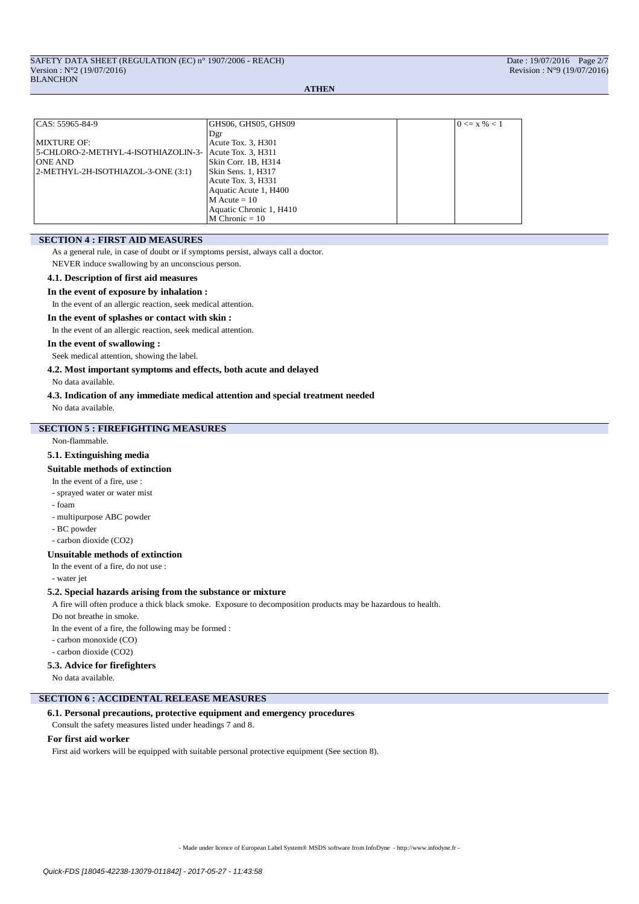Version : N°2 (19/07/2016) Revision : N°9 (19/07/2016)

**ATHEN**

| CAS: 55965-84-9                     | GHS06, GHS05, GHS09     | $0 \le x \% < 1$ |
|-------------------------------------|-------------------------|------------------|
|                                     | Dgr                     |                  |
| <b>MIXTURE OF:</b>                  | Acute Tox. 3, H301      |                  |
| 5-CHLORO-2-METHYL-4-ISOTHIAZOLIN-3- | Acute Tox. 3, H311      |                  |
| <b>ONE AND</b>                      | Skin Corr. 1B, H314     |                  |
| 2-METHYL-2H-ISOTHIAZOL-3-ONE (3:1)  | Skin Sens. 1, H317      |                  |
|                                     | Acute Tox. 3, H331      |                  |
|                                     | Aquatic Acute 1, H400   |                  |
|                                     | $M$ Acute = 10          |                  |
|                                     | Aquatic Chronic 1, H410 |                  |
|                                     | $M$ Chronic = 10        |                  |

# **SECTION 4 : FIRST AID MEASURES**

As a general rule, in case of doubt or if symptoms persist, always call a doctor.

NEVER induce swallowing by an unconscious person.

# **4.1. Description of first aid measures**

### **In the event of exposure by inhalation :**

In the event of an allergic reaction, seek medical attention.

#### **In the event of splashes or contact with skin :**

In the event of an allergic reaction, seek medical attention.

### **In the event of swallowing :**

Seek medical attention, showing the label.

### **4.2. Most important symptoms and effects, both acute and delayed**

No data available.

### **4.3. Indication of any immediate medical attention and special treatment needed**

No data available.

# **SECTION 5 : FIREFIGHTING MEASURES**

Non-flammable.

# **5.1. Extinguishing media**

### **Suitable methods of extinction**

In the event of a fire, use :

- sprayed water or water mist
- foam
- multipurpose ABC powder
- BC powder
- carbon dioxide (CO2)

### **Unsuitable methods of extinction**

In the event of a fire, do not use :

- water jet

### **5.2. Special hazards arising from the substance or mixture**

A fire will often produce a thick black smoke. Exposure to decomposition products may be hazardous to health.

Do not breathe in smoke.

In the event of a fire, the following may be formed :

- carbon monoxide (CO)

- carbon dioxide (CO2)

# **5.3. Advice for firefighters**

No data available.

# **SECTION 6 : ACCIDENTAL RELEASE MEASURES**

### **6.1. Personal precautions, protective equipment and emergency procedures**

Consult the safety measures listed under headings 7 and 8.

### **For first aid worker**

First aid workers will be equipped with suitable personal protective equipment (See section 8).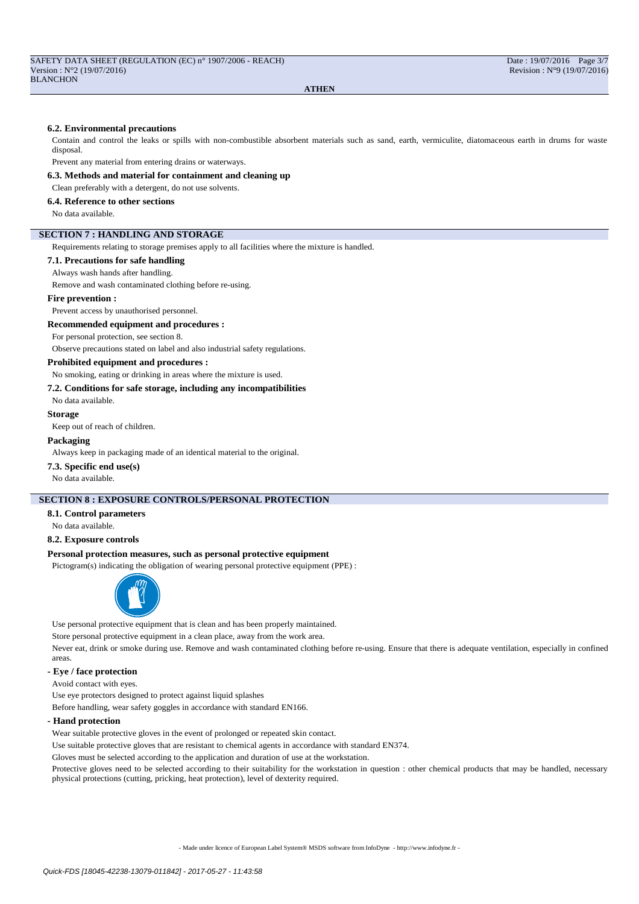### **6.2. Environmental precautions**

Contain and control the leaks or spills with non-combustible absorbent materials such as sand, earth, vermiculite, diatomaceous earth in drums for waste disposal.

Prevent any material from entering drains or waterways.

#### **6.3. Methods and material for containment and cleaning up**

#### Clean preferably with a detergent, do not use solvents.

**6.4. Reference to other sections**

No data available.

### **SECTION 7 : HANDLING AND STORAGE**

Requirements relating to storage premises apply to all facilities where the mixture is handled.

#### **7.1. Precautions for safe handling**

Always wash hands after handling.

Remove and wash contaminated clothing before re-using.

#### **Fire prevention :**

Prevent access by unauthorised personnel.

#### **Recommended equipment and procedures :**

For personal protection, see section 8.

Observe precautions stated on label and also industrial safety regulations.

# **Prohibited equipment and procedures :**

No smoking, eating or drinking in areas where the mixture is used.

#### **7.2. Conditions for safe storage, including any incompatibilities**

No data available.

#### **Storage**

Keep out of reach of children.

# **Packaging**

Always keep in packaging made of an identical material to the original.

#### **7.3. Specific end use(s)**

No data available.

# **SECTION 8 : EXPOSURE CONTROLS/PERSONAL PROTECTION**

#### **8.1. Control parameters**

No data available.

### **8.2. Exposure controls**

#### **Personal protection measures, such as personal protective equipment**

Pictogram(s) indicating the obligation of wearing personal protective equipment (PPE) :



Use personal protective equipment that is clean and has been properly maintained.

Store personal protective equipment in a clean place, away from the work area.

Never eat, drink or smoke during use. Remove and wash contaminated clothing before re-using. Ensure that there is adequate ventilation, especially in confined areas.

### **- Eye / face protection**

Avoid contact with eyes.

Use eye protectors designed to protect against liquid splashes

Before handling, wear safety goggles in accordance with standard EN166.

### **- Hand protection**

Wear suitable protective gloves in the event of prolonged or repeated skin contact.

Use suitable protective gloves that are resistant to chemical agents in accordance with standard EN374.

Gloves must be selected according to the application and duration of use at the workstation.

Protective gloves need to be selected according to their suitability for the workstation in question : other chemical products that may be handled, necessary physical protections (cutting, pricking, heat protection), level of dexterity required.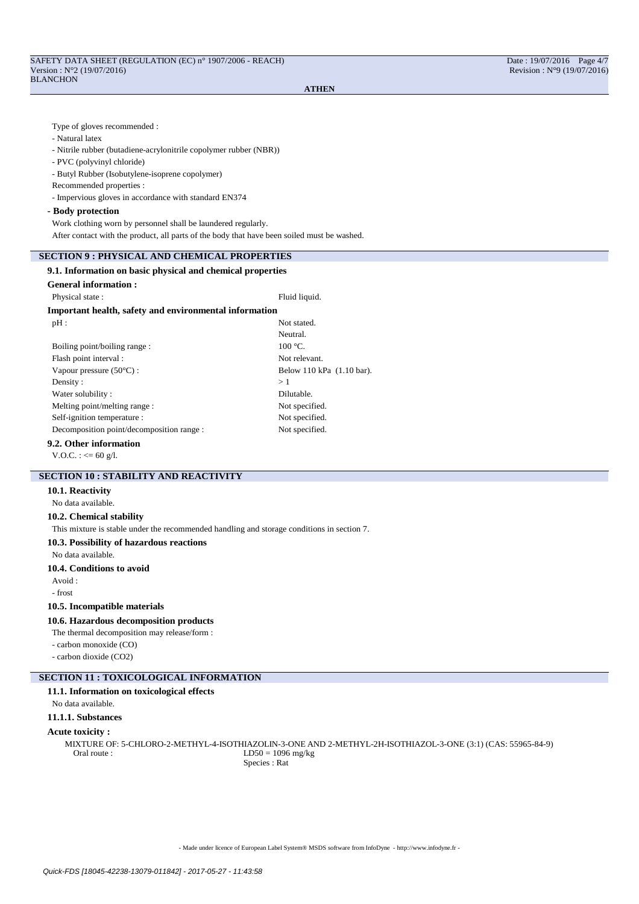Type of gloves recommended :

### - Natural latex

- Nitrile rubber (butadiene-acrylonitrile copolymer rubber (NBR))
- PVC (polyvinyl chloride)
- Butyl Rubber (Isobutylene-isoprene copolymer)
- Recommended properties :

- Impervious gloves in accordance with standard EN374

#### **- Body protection**

Work clothing worn by personnel shall be laundered regularly.

After contact with the product, all parts of the body that have been soiled must be washed.

# **SECTION 9 : PHYSICAL AND CHEMICAL PROPERTIES**

#### **9.1. Information on basic physical and chemical properties**

# **General information :**

Physical state : Fluid liquid.

Not relevant.

Dilutable. Not specified. Not specified. Not specified.

Below 110 kPa (1.10 bar).

| Important health, safety and environmental information |             |
|--------------------------------------------------------|-------------|
| $pH$ :                                                 | Not stated. |
|                                                        | Neutral.    |

| Boiling point/boiling range:              | $100 °C$ . |
|-------------------------------------------|------------|
| Flash point interval:                     | Not rele   |
| Vapour pressure $(50^{\circ}$ C) :        | Below 1    |
| Density:                                  | >1         |
| Water solubility:                         | Dilutab    |
| Melting point/melting range:              | Not spe    |
| Self-ignition temperature :               | Not spe    |
| Decomposition point/decomposition range : | Not spe    |
|                                           |            |

### **9.2. Other information**

V.O.C. :  $<= 60$  g/l.

# **SECTION 10 : STABILITY AND REACTIVITY**

# **10.1. Reactivity**

#### No data available.

### **10.2. Chemical stability**

This mixture is stable under the recommended handling and storage conditions in section 7.

#### **10.3. Possibility of hazardous reactions**

No data available.

### **10.4. Conditions to avoid**

Avoid :

- frost

# **10.5. Incompatible materials**

# **10.6. Hazardous decomposition products**

The thermal decomposition may release/form :

- carbon monoxide (CO)

- carbon dioxide (CO2)

# **SECTION 11 : TOXICOLOGICAL INFORMATION**

### **11.1. Information on toxicological effects**

No data available.

### **11.1.1. Substances**

### **Acute toxicity :**

MIXTURE OF: 5-CHLORO-2-METHYL-4-ISOTHIAZOLIN-3-ONE AND 2-METHYL-2H-ISOTHIAZOL-3-ONE (3:1) (CAS: 55965-84-9)<br>Oral route :  $LD50 = 1096$  mg/kg

Species : Rat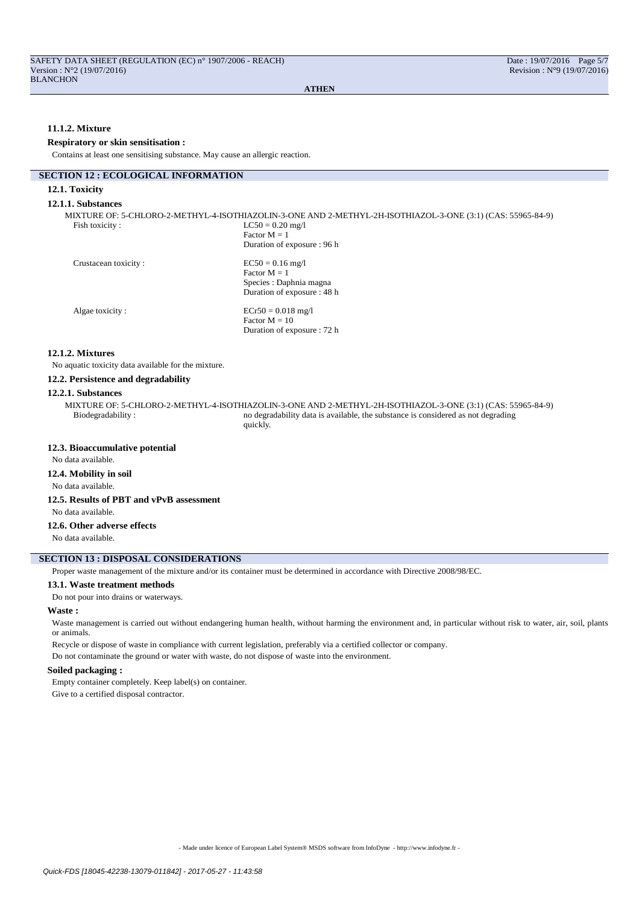# **Respiratory or skin sensitisation :**

Contains at least one sensitising substance. May cause an allergic reaction.

### **SECTION 12 : ECOLOGICAL INFORMATION**

#### **12.1. Toxicity**

#### **12.1.1. Substances**

MIXTURE OF: 5-CHLORO-2-METHYL-4-ISOTHIAZOLIN-3-ONE AND 2-METHYL-2H-ISOTHIAZOL-3-ONE (3:1) (CAS: 55965-84-9) Fish toxicity :  $LC50 = 0.20$  mg/l Factor  $M = 1$ Duration of exposure : 96 h Crustacean toxicity :  $\angle$  EC50 = 0.16 mg/l

|  | ______________              |
|--|-----------------------------|
|  | Factor $M = 1$              |
|  | Species : Daphnia magna     |
|  | Duration of exposure : 48 h |
|  |                             |

Algae toxicity : ECr50 = 0.018 mg/l Factor  $M = 10$ Duration of exposure : 72 h

### **12.1.2. Mixtures**

No aquatic toxicity data available for the mixture.

#### **12.2. Persistence and degradability**

### **12.2.1. Substances**

MIXTURE OF: 5-CHLORO-2-METHYL-4-ISOTHIAZOLIN-3-ONE AND 2-METHYL-2H-ISOTHIAZOL-3-ONE (3:1) (CAS: 55965-84-9) no degradability data is available, the substance is considered as not degrading quickly.

#### **12.3. Bioaccumulative potential**

No data available.

# **12.4. Mobility in soil**

No data available.

# **12.5. Results of PBT and vPvB assessment**

No data available.

# **12.6. Other adverse effects**

No data available.

# **SECTION 13 : DISPOSAL CONSIDERATIONS**

Proper waste management of the mixture and/or its container must be determined in accordance with Directive 2008/98/EC.

### **13.1. Waste treatment methods**

Do not pour into drains or waterways.

### **Waste :**

Waste management is carried out without endangering human health, without harming the environment and, in particular without risk to water, air, soil, plants or animals.

Recycle or dispose of waste in compliance with current legislation, preferably via a certified collector or company.

Do not contaminate the ground or water with waste, do not dispose of waste into the environment.

#### **Soiled packaging :**

Empty container completely. Keep label(s) on container.

Give to a certified disposal contractor.

- Made under licence of European Label System® MSDS software from InfoDyne - http://www.infodyne.fr -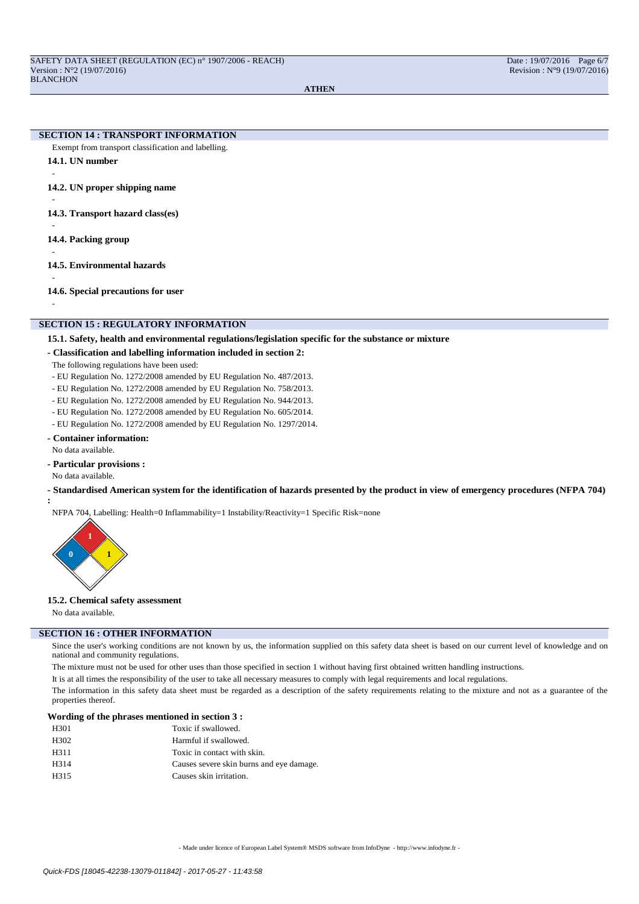### **SECTION 14 : TRANSPORT INFORMATION**

Exempt from transport classification and labelling.

**14.1. UN number**

-

-

-

-

-

-

**14.2. UN proper shipping name**

**14.3. Transport hazard class(es)**

**14.4. Packing group**

**14.5. Environmental hazards**

**14.6. Special precautions for user**

# **SECTION 15 : REGULATORY INFORMATION**

**15.1. Safety, health and environmental regulations/legislation specific for the substance or mixture**

### **- Classification and labelling information included in section 2:**

- The following regulations have been used:
- EU Regulation No. 1272/2008 amended by EU Regulation No. 487/2013.
- EU Regulation No. 1272/2008 amended by EU Regulation No. 758/2013.
- EU Regulation No. 1272/2008 amended by EU Regulation No. 944/2013.
- EU Regulation No. 1272/2008 amended by EU Regulation No. 605/2014.
- EU Regulation No. 1272/2008 amended by EU Regulation No. 1297/2014.

# **- Container information:**

No data available.

**:**

**- Particular provisions :**

No data available.

**- Standardised American system for the identification of hazards presented by the product in view of emergency procedures (NFPA 704)**

NFPA 704, Labelling: Health=0 Inflammability=1 Instability/Reactivity=1 Specific Risk=none



#### **15.2. Chemical safety assessment**

No data available.

### **SECTION 16 : OTHER INFORMATION**

Since the user's working conditions are not known by us, the information supplied on this safety data sheet is based on our current level of knowledge and on national and community regulations.

The mixture must not be used for other uses than those specified in section 1 without having first obtained written handling instructions.

It is at all times the responsibility of the user to take all necessary measures to comply with legal requirements and local regulations.

The information in this safety data sheet must be regarded as a description of the safety requirements relating to the mixture and not as a guarantee of the properties thereof.

#### **Wording of the phrases mentioned in section 3 :** H301 Toxic if swallowed.

| ---- | TOAIGH SWAIIOWG.                         |
|------|------------------------------------------|
| H302 | Harmful if swallowed.                    |
| H311 | Toxic in contact with skin.              |
| H314 | Causes severe skin burns and eye damage. |
| H315 | Causes skin irritation.                  |
|      |                                          |

- Made under licence of European Label System® MSDS software from InfoDyne - http://www.infodyne.fr -